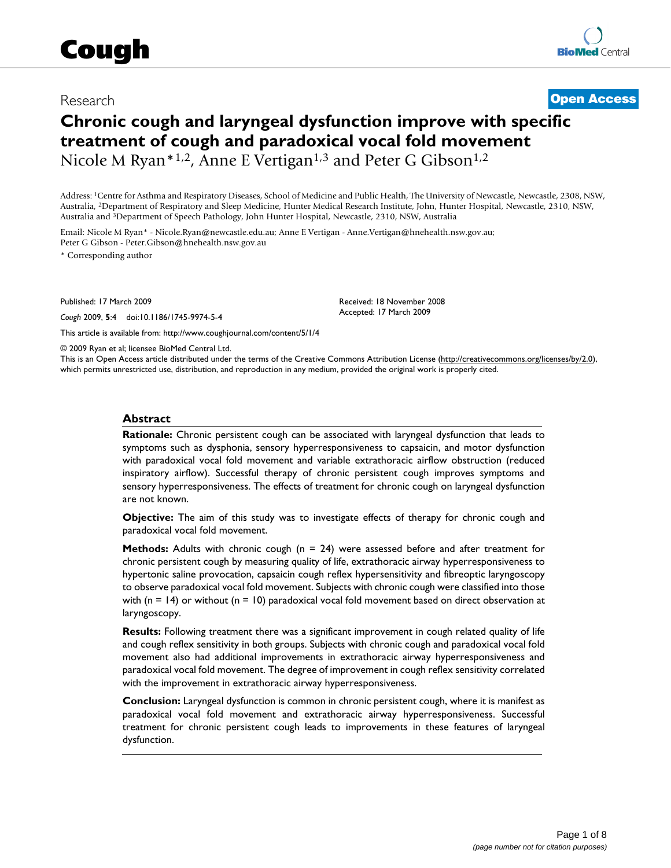## Research **[Open Access](http://www.biomedcentral.com/info/about/charter/)**

# **Chronic cough and laryngeal dysfunction improve with specific treatment of cough and paradoxical vocal fold movement**

Nicole M Ryan<sup>\*1,2</sup>, Anne E Vertigan<sup>1,3</sup> and Peter G Gibson<sup>1,2</sup>

Address: 1Centre for Asthma and Respiratory Diseases, School of Medicine and Public Health, The University of Newcastle, Newcastle, 2308, NSW, Australia, 2Department of Respiratory and Sleep Medicine, Hunter Medical Research Institute, John, Hunter Hospital, Newcastle, 2310, NSW, Australia and 3Department of Speech Pathology, John Hunter Hospital, Newcastle, 2310, NSW, Australia

Email: Nicole M Ryan\* - Nicole.Ryan@newcastle.edu.au; Anne E Vertigan - Anne.Vertigan@hnehealth.nsw.gov.au; Peter G Gibson - Peter.Gibson@hnehealth.nsw.gov.au

\* Corresponding author

Published: 17 March 2009

*Cough* 2009, **5**:4 doi:10.1186/1745-9974-5-4

[This article is available from: http://www.coughjournal.com/content/5/1/4](http://www.coughjournal.com/content/5/1/4)

Accepted: 17 March 2009

Received: 18 November 2008

© 2009 Ryan et al; licensee BioMed Central Ltd.

This is an Open Access article distributed under the terms of the Creative Commons Attribution License [\(http://creativecommons.org/licenses/by/2.0\)](http://creativecommons.org/licenses/by/2.0), which permits unrestricted use, distribution, and reproduction in any medium, provided the original work is properly cited.

#### **Abstract**

**Rationale:** Chronic persistent cough can be associated with laryngeal dysfunction that leads to symptoms such as dysphonia, sensory hyperresponsiveness to capsaicin, and motor dysfunction with paradoxical vocal fold movement and variable extrathoracic airflow obstruction (reduced inspiratory airflow). Successful therapy of chronic persistent cough improves symptoms and sensory hyperresponsiveness. The effects of treatment for chronic cough on laryngeal dysfunction are not known.

**Objective:** The aim of this study was to investigate effects of therapy for chronic cough and paradoxical vocal fold movement.

**Methods:** Adults with chronic cough (n = 24) were assessed before and after treatment for chronic persistent cough by measuring quality of life, extrathoracic airway hyperresponsiveness to hypertonic saline provocation, capsaicin cough reflex hypersensitivity and fibreoptic laryngoscopy to observe paradoxical vocal fold movement. Subjects with chronic cough were classified into those with ( $n = 14$ ) or without ( $n = 10$ ) paradoxical vocal fold movement based on direct observation at laryngoscopy.

**Results:** Following treatment there was a significant improvement in cough related quality of life and cough reflex sensitivity in both groups. Subjects with chronic cough and paradoxical vocal fold movement also had additional improvements in extrathoracic airway hyperresponsiveness and paradoxical vocal fold movement. The degree of improvement in cough reflex sensitivity correlated with the improvement in extrathoracic airway hyperresponsiveness.

**Conclusion:** Laryngeal dysfunction is common in chronic persistent cough, where it is manifest as paradoxical vocal fold movement and extrathoracic airway hyperresponsiveness. Successful treatment for chronic persistent cough leads to improvements in these features of laryngeal dysfunction.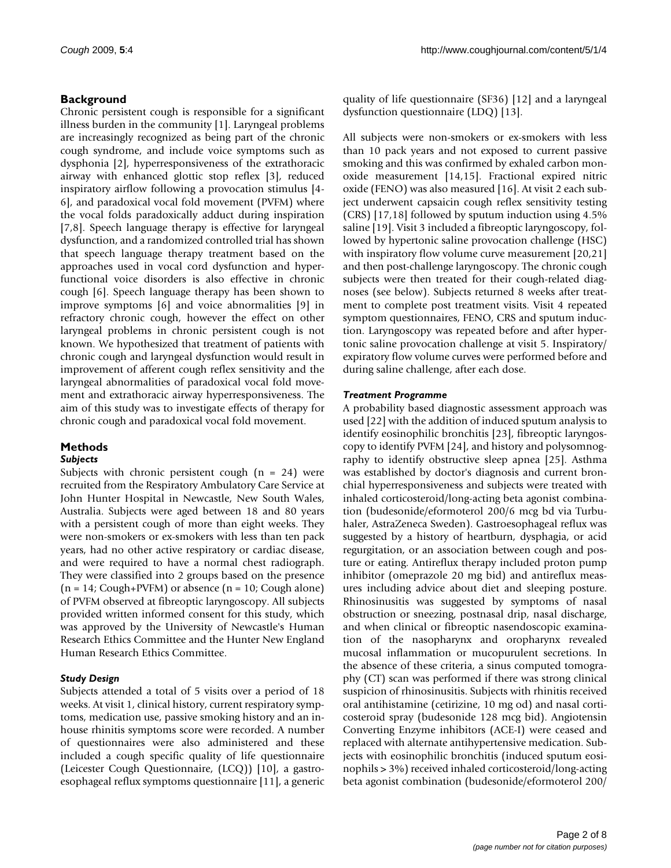#### **Background**

Chronic persistent cough is responsible for a significant illness burden in the community [\[1\]](#page-6-0). Laryngeal problems are increasingly recognized as being part of the chronic cough syndrome, and include voice symptoms such as dysphonia [[2](#page-6-1)], hyperresponsiveness of the extrathoracic airway with enhanced glottic stop reflex [[3](#page-6-2)], reduced inspiratory airflow following a provocation stimulus [[4](#page-6-3)- [6\]](#page-6-4), and paradoxical vocal fold movement (PVFM) where the vocal folds paradoxically adduct during inspiration [[7](#page-6-5)[,8\]](#page-6-6). Speech language therapy is effective for laryngeal dysfunction, and a randomized controlled trial has shown that speech language therapy treatment based on the approaches used in vocal cord dysfunction and hyperfunctional voice disorders is also effective in chronic cough [\[6\]](#page-6-4). Speech language therapy has been shown to improve symptoms [\[6](#page-6-4)] and voice abnormalities [[9](#page-6-7)] in refractory chronic cough, however the effect on other laryngeal problems in chronic persistent cough is not known. We hypothesized that treatment of patients with chronic cough and laryngeal dysfunction would result in improvement of afferent cough reflex sensitivity and the laryngeal abnormalities of paradoxical vocal fold movement and extrathoracic airway hyperresponsiveness. The aim of this study was to investigate effects of therapy for chronic cough and paradoxical vocal fold movement.

#### **Methods**

#### *Subjects*

Subjects with chronic persistent cough  $(n = 24)$  were recruited from the Respiratory Ambulatory Care Service at John Hunter Hospital in Newcastle, New South Wales, Australia. Subjects were aged between 18 and 80 years with a persistent cough of more than eight weeks. They were non-smokers or ex-smokers with less than ten pack years, had no other active respiratory or cardiac disease, and were required to have a normal chest radiograph. They were classified into 2 groups based on the presence  $(n = 14; \text{Cough+PVFM})$  or absence  $(n = 10; \text{Cough alone})$ of PVFM observed at fibreoptic laryngoscopy. All subjects provided written informed consent for this study, which was approved by the University of Newcastle's Human Research Ethics Committee and the Hunter New England Human Research Ethics Committee.

#### *Study Design*

Subjects attended a total of 5 visits over a period of 18 weeks. At visit 1, clinical history, current respiratory symptoms, medication use, passive smoking history and an inhouse rhinitis symptoms score were recorded. A number of questionnaires were also administered and these included a cough specific quality of life questionnaire (Leicester Cough Questionnaire, (LCQ)) [[10\]](#page-6-8), a gastroesophageal reflux symptoms questionnaire [\[11](#page-6-9)], a generic quality of life questionnaire (SF36) [[12\]](#page-6-10) and a laryngeal dysfunction questionnaire (LDQ) [[13](#page-6-11)].

All subjects were non-smokers or ex-smokers with less than 10 pack years and not exposed to current passive smoking and this was confirmed by exhaled carbon monoxide measurement [[14](#page-6-12),[15\]](#page-6-13). Fractional expired nitric oxide (FENO) was also measured [\[16](#page-6-14)]. At visit 2 each subject underwent capsaicin cough reflex sensitivity testing (CRS) [[17](#page-6-15),[18\]](#page-6-16) followed by sputum induction using 4.5% saline [\[19\]](#page-6-17). Visit 3 included a fibreoptic laryngoscopy, followed by hypertonic saline provocation challenge (HSC) with inspiratory flow volume curve measurement [\[20](#page-6-18),[21\]](#page-7-0) and then post-challenge laryngoscopy. The chronic cough subjects were then treated for their cough-related diagnoses (see below). Subjects returned 8 weeks after treatment to complete post treatment visits. Visit 4 repeated symptom questionnaires, FENO, CRS and sputum induction. Laryngoscopy was repeated before and after hypertonic saline provocation challenge at visit 5. Inspiratory/ expiratory flow volume curves were performed before and during saline challenge, after each dose.

#### *Treatment Programme*

A probability based diagnostic assessment approach was used [\[22\]](#page-7-1) with the addition of induced sputum analysis to identify eosinophilic bronchitis [\[23](#page-7-2)], fibreoptic laryngoscopy to identify PVFM [\[24](#page-7-3)], and history and polysomnography to identify obstructive sleep apnea [[25\]](#page-7-4). Asthma was established by doctor's diagnosis and current bronchial hyperresponsiveness and subjects were treated with inhaled corticosteroid/long-acting beta agonist combination (budesonide/eformoterol 200/6 mcg bd via Turbuhaler, AstraZeneca Sweden). Gastroesophageal reflux was suggested by a history of heartburn, dysphagia, or acid regurgitation, or an association between cough and posture or eating. Antireflux therapy included proton pump inhibitor (omeprazole 20 mg bid) and antireflux measures including advice about diet and sleeping posture. Rhinosinusitis was suggested by symptoms of nasal obstruction or sneezing, postnasal drip, nasal discharge, and when clinical or fibreoptic nasendoscopic examination of the nasopharynx and oropharynx revealed mucosal inflammation or mucopurulent secretions. In the absence of these criteria, a sinus computed tomography (CT) scan was performed if there was strong clinical suspicion of rhinosinusitis. Subjects with rhinitis received oral antihistamine (cetirizine, 10 mg od) and nasal corticosteroid spray (budesonide 128 mcg bid). Angiotensin Converting Enzyme inhibitors (ACE-I) were ceased and replaced with alternate antihypertensive medication. Subjects with eosinophilic bronchitis (induced sputum eosinophils > 3%) received inhaled corticosteroid/long-acting beta agonist combination (budesonide/eformoterol 200/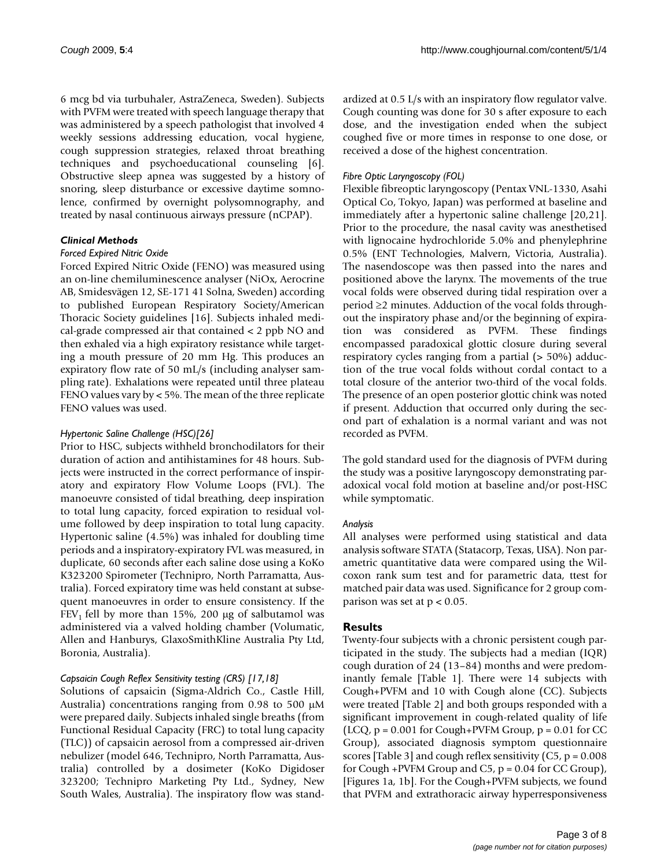6 mcg bd via turbuhaler, AstraZeneca, Sweden). Subjects with PVFM were treated with speech language therapy that was administered by a speech pathologist that involved 4 weekly sessions addressing education, vocal hygiene, cough suppression strategies, relaxed throat breathing techniques and psychoeducational counseling [[6](#page-6-4)]. Obstructive sleep apnea was suggested by a history of snoring, sleep disturbance or excessive daytime somnolence, confirmed by overnight polysomnography, and treated by nasal continuous airways pressure (nCPAP).

#### *Clinical Methods*

#### *Forced Expired Nitric Oxide*

Forced Expired Nitric Oxide (FENO) was measured using an on-line chemiluminescence analyser (NiOx, Aerocrine AB, Smidesvägen 12, SE-171 41 Solna, Sweden) according to published European Respiratory Society/American Thoracic Society guidelines [[16\]](#page-6-14). Subjects inhaled medical-grade compressed air that contained < 2 ppb NO and then exhaled via a high expiratory resistance while targeting a mouth pressure of 20 mm Hg. This produces an expiratory flow rate of 50 mL/s (including analyser sampling rate). Exhalations were repeated until three plateau FENO values vary by < 5%. The mean of the three replicate FENO values was used.

#### *Hypertonic Saline Challenge (HSC)[\[26](#page-7-5)]*

Prior to HSC, subjects withheld bronchodilators for their duration of action and antihistamines for 48 hours. Subjects were instructed in the correct performance of inspiratory and expiratory Flow Volume Loops (FVL). The manoeuvre consisted of tidal breathing, deep inspiration to total lung capacity, forced expiration to residual volume followed by deep inspiration to total lung capacity. Hypertonic saline (4.5%) was inhaled for doubling time periods and a inspiratory-expiratory FVL was measured, in duplicate, 60 seconds after each saline dose using a KoKo K323200 Spirometer (Technipro, North Parramatta, Australia). Forced expiratory time was held constant at subsequent manoeuvres in order to ensure consistency. If the FEV<sub>1</sub> fell by more than 15%, 200 μg of salbutamol was administered via a valved holding chamber (Volumatic, Allen and Hanburys, GlaxoSmithKline Australia Pty Ltd, Boronia, Australia).

#### *Capsaicin Cough Reflex Sensitivity testing (CRS) [[17](#page-6-15)[,18](#page-6-16)]*

Solutions of capsaicin (Sigma-Aldrich Co., Castle Hill, Australia) concentrations ranging from 0.98 to 500 μM were prepared daily. Subjects inhaled single breaths (from Functional Residual Capacity (FRC) to total lung capacity (TLC)) of capsaicin aerosol from a compressed air-driven nebulizer (model 646, Technipro, North Parramatta, Australia) controlled by a dosimeter (KoKo Digidoser 323200; Technipro Marketing Pty Ltd., Sydney, New South Wales, Australia). The inspiratory flow was standardized at 0.5 L/s with an inspiratory flow regulator valve. Cough counting was done for 30 s after exposure to each dose, and the investigation ended when the subject coughed five or more times in response to one dose, or received a dose of the highest concentration.

#### *Fibre Optic Laryngoscopy (FOL)*

Flexible fibreoptic laryngoscopy (Pentax VNL-1330, Asahi Optical Co, Tokyo, Japan) was performed at baseline and immediately after a hypertonic saline challenge [[20,](#page-6-18)[21](#page-7-0)]. Prior to the procedure, the nasal cavity was anesthetised with lignocaine hydrochloride 5.0% and phenylephrine 0.5% (ENT Technologies, Malvern, Victoria, Australia). The nasendoscope was then passed into the nares and positioned above the larynx. The movements of the true vocal folds were observed during tidal respiration over a period ≥2 minutes. Adduction of the vocal folds throughout the inspiratory phase and/or the beginning of expiration was considered as PVFM. These findings encompassed paradoxical glottic closure during several respiratory cycles ranging from a partial (> 50%) adduction of the true vocal folds without cordal contact to a total closure of the anterior two-third of the vocal folds. The presence of an open posterior glottic chink was noted if present. Adduction that occurred only during the second part of exhalation is a normal variant and was not recorded as PVFM.

The gold standard used for the diagnosis of PVFM during the study was a positive laryngoscopy demonstrating paradoxical vocal fold motion at baseline and/or post-HSC while symptomatic.

#### *Analysis*

All analyses were performed using statistical and data analysis software STATA (Statacorp, Texas, USA). Non parametric quantitative data were compared using the Wilcoxon rank sum test and for parametric data, ttest for matched pair data was used. Significance for 2 group comparison was set at  $p < 0.05$ .

#### **Results**

Twenty-four subjects with a chronic persistent cough participated in the study. The subjects had a median (IQR) cough duration of 24 (13–84) months and were predominantly female [Table [1\]](#page-4-0). There were 14 subjects with Cough+PVFM and 10 with Cough alone (CC). Subjects were treated [Table [2\]](#page-4-1) and both groups responded with a significant improvement in cough-related quality of life  $(LCQ, p = 0.001$  for Cough+PVFM Group,  $p = 0.01$  for CC Group), associated diagnosis symptom questionnaire scores [Table [3](#page-5-0)] and cough reflex sensitivity  $(C5, p = 0.008)$ for Cough +PVFM Group and C5,  $p = 0.04$  for CC Group), [Figures [1](#page-3-0)a, 1b]. For the Cough+PVFM subjects, we found that PVFM and extrathoracic airway hyperresponsiveness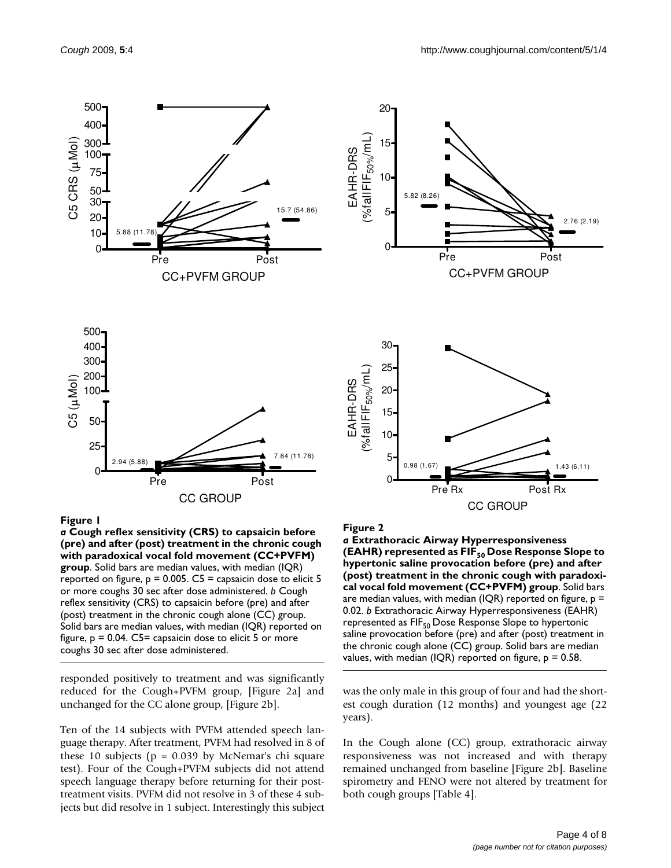<span id="page-3-0"></span>

<span id="page-3-1"></span>

#### 30 25 %fallFIF<sub>50%</sub> $(mL)$ (%fallFIF $_{50\%}$ /mL) EAHR-DRS EAHR-DRS 20 15 10 5  $0.98(1.67)$  1.43 (6.11)  $\mathsf{C}$ Pre Rx Post Rx CC GROUP

### **Figure 1**

*a* **Cough reflex sensitivity (CRS) to capsaicin before (pre) and after (post) treatment in the chronic cough with paradoxical vocal fold movement (CC+PVFM) group**. Solid bars are median values, with median (IQR) reported on figure,  $p = 0.005$ .  $C5 =$  capsaicin dose to elicit 5 or more coughs 30 sec after dose administered. *b* Cough reflex sensitivity (CRS) to capsaicin before (pre) and after (post) treatment in the chronic cough alone (CC) group. Solid bars are median values, with median (IQR) reported on figure,  $p = 0.04$ . C5= capsaicin dose to elicit 5 or more coughs 30 sec after dose administered.

responded positively to treatment and was significantly reduced for the Cough+PVFM group, [Figure [2a](#page-3-1)] and unchanged for the CC alone group, [Figure [2b](#page-3-1)].

Ten of the 14 subjects with PVFM attended speech language therapy. After treatment, PVFM had resolved in 8 of these 10 subjects ( $p = 0.039$  by McNemar's chi square test). Four of the Cough+PVFM subjects did not attend speech language therapy before returning for their posttreatment visits. PVFM did not resolve in 3 of these 4 subjects but did resolve in 1 subject. Interestingly this subject

### Figure 2

*a* **Extrathoracic Airway Hyperresponsiveness (EAHR) represented as FIF50 Dose Response Slope to hypertonic saline provocation before (pre) and after (post) treatment in the chronic cough with paradoxical vocal fold movement (CC+PVFM) group**. Solid bars are median values, with median (IQR) reported on figure,  $p =$ 0.02. *b* Extrathoracic Airway Hyperresponsiveness (EAHR) represented as FIF<sub>50</sub> Dose Response Slope to hypertonic saline provocation before (pre) and after (post) treatment in the chronic cough alone (CC) group. Solid bars are median values, with median (IQR) reported on figure,  $p = 0.58$ .

was the only male in this group of four and had the shortest cough duration (12 months) and youngest age (22 years).

In the Cough alone (CC) group, extrathoracic airway responsiveness was not increased and with therapy remained unchanged from baseline [Figure [2b](#page-3-1)]. Baseline spirometry and FENO were not altered by treatment for both cough groups [Table [4](#page-5-1)].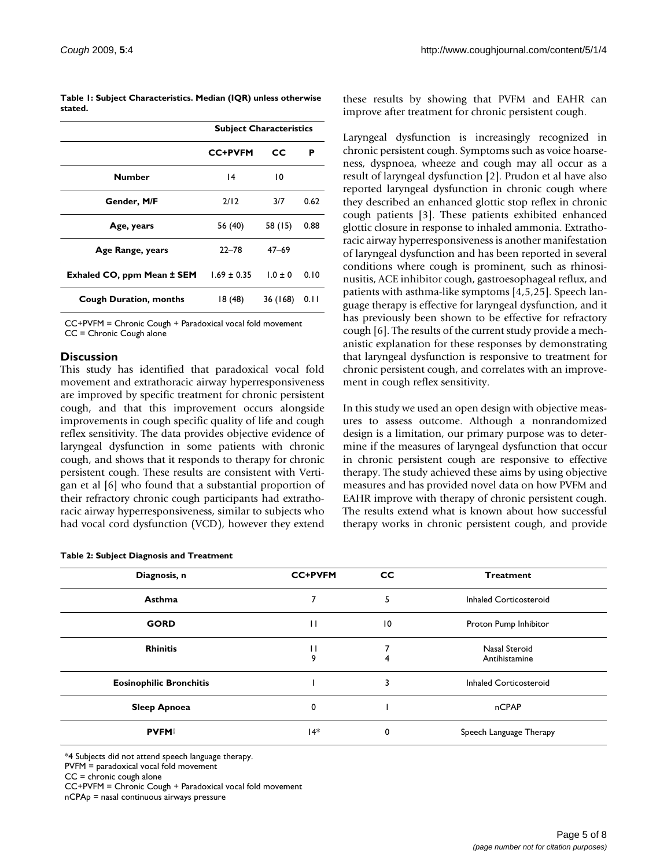<span id="page-4-0"></span>**Table 1: Subject Characteristics. Median (IQR) unless otherwise stated.**

|                               | <b>Subject Characteristics</b> |             |      |  |
|-------------------------------|--------------------------------|-------------|------|--|
|                               | <b>CC+PVFM</b>                 | СC          | Р    |  |
| <b>Number</b>                 | $\overline{14}$                | 10          |      |  |
| Gender, M/F                   | 2/12                           | 3/7         | 0.62 |  |
| Age, years                    | 56 (40)                        | 58 (15)     | 0.88 |  |
| Age Range, years              | $22 - 78$                      | $47 - 69$   |      |  |
| Exhaled CO, ppm Mean ± SEM    | $1.69 \pm 0.35$                | $1.0 \pm 0$ | 0.10 |  |
| <b>Cough Duration, months</b> | 18 (48)                        | 36 (168)    | 0.11 |  |

CC+PVFM = Chronic Cough + Paradoxical vocal fold movement CC = Chronic Cough alone

#### **Discussion**

This study has identified that paradoxical vocal fold movement and extrathoracic airway hyperresponsiveness are improved by specific treatment for chronic persistent cough, and that this improvement occurs alongside improvements in cough specific quality of life and cough reflex sensitivity. The data provides objective evidence of laryngeal dysfunction in some patients with chronic cough, and shows that it responds to therapy for chronic persistent cough. These results are consistent with Vertigan et al [\[6\]](#page-6-4) who found that a substantial proportion of their refractory chronic cough participants had extrathoracic airway hyperresponsiveness, similar to subjects who had vocal cord dysfunction (VCD), however they extend

#### <span id="page-4-1"></span>**Table 2: Subject Diagnosis and Treatment**

these results by showing that PVFM and EAHR can improve after treatment for chronic persistent cough.

Laryngeal dysfunction is increasingly recognized in chronic persistent cough. Symptoms such as voice hoarseness, dyspnoea, wheeze and cough may all occur as a result of laryngeal dysfunction [[2](#page-6-1)]. Prudon et al have also reported laryngeal dysfunction in chronic cough where they described an enhanced glottic stop reflex in chronic cough patients [[3](#page-6-2)]. These patients exhibited enhanced glottic closure in response to inhaled ammonia. Extrathoracic airway hyperresponsiveness is another manifestation of laryngeal dysfunction and has been reported in several conditions where cough is prominent, such as rhinosinusitis, ACE inhibitor cough, gastroesophageal reflux, and patients with asthma-like symptoms [[4](#page-6-3),[5](#page-6-19),[25\]](#page-7-4). Speech language therapy is effective for laryngeal dysfunction, and it has previously been shown to be effective for refractory cough [\[6\]](#page-6-4). The results of the current study provide a mechanistic explanation for these responses by demonstrating that laryngeal dysfunction is responsive to treatment for chronic persistent cough, and correlates with an improvement in cough reflex sensitivity.

In this study we used an open design with objective measures to assess outcome. Although a nonrandomized design is a limitation, our primary purpose was to determine if the measures of laryngeal dysfunction that occur in chronic persistent cough are responsive to effective therapy. The study achieved these aims by using objective measures and has provided novel data on how PVFM and EAHR improve with therapy of chronic persistent cough. The results extend what is known about how successful therapy works in chronic persistent cough, and provide

| Diagnosis, n                   | <b>CC+PVFM</b> | <b>CC</b>       | <b>Treatment</b>        |
|--------------------------------|----------------|-----------------|-------------------------|
| <b>Asthma</b>                  |                | 5               | Inhaled Corticosteroid  |
| <b>GORD</b>                    | П              | $\overline{10}$ | Proton Pump Inhibitor   |
| <b>Rhinitis</b>                | П              |                 | Nasal Steroid           |
|                                | 9              |                 | Antihistamine           |
| <b>Eosinophilic Bronchitis</b> |                |                 | Inhaled Corticosteroid  |
| <b>Sleep Apnoea</b>            | 0              |                 | nCPAP                   |
| <b>PVFM</b>                    | 14*            | 0               | Speech Language Therapy |

\*4 Subjects did not attend speech language therapy.

PVFM = paradoxical vocal fold movement

nCPAp = nasal continuous airways pressure

CC = chronic cough alone

CC+PVFM = Chronic Cough + Paradoxical vocal fold movement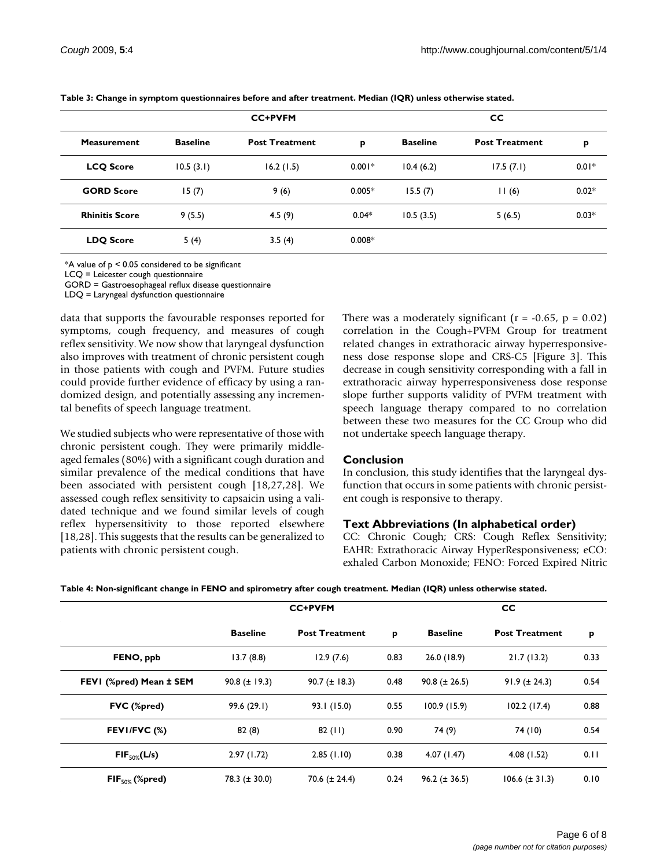| <b>CC+PVFM</b>        |                 |                       | <b>CC</b> |                 |                       |         |
|-----------------------|-----------------|-----------------------|-----------|-----------------|-----------------------|---------|
| <b>Measurement</b>    | <b>Baseline</b> | <b>Post Treatment</b> | p         | <b>Baseline</b> | <b>Post Treatment</b> | р       |
| <b>LCQ Score</b>      | 10.5(3.1)       | 16.2(1.5)             | $0.001*$  | 10.4(6.2)       | 17.5(7.1)             | $0.01*$ |
| <b>GORD Score</b>     | 15(7)           | 9(6)                  | $0.005*$  | 15.5(7)         | 11(6)                 | $0.02*$ |
| <b>Rhinitis Score</b> | 9(5.5)          | 4.5(9)                | $0.04*$   | 10.5(3.5)       | 5(6.5)                | $0.03*$ |
| <b>LDQ Score</b>      | 5(4)            | 3.5(4)                | $0.008*$  |                 |                       |         |

<span id="page-5-0"></span>**Table 3: Change in symptom questionnaires before and after treatment. Median (IQR) unless otherwise stated.**

 $*$ A value of  $p < 0.05$  considered to be significant

LCQ = Leicester cough questionnaire

GORD = Gastroesophageal reflux disease questionnaire

LDQ = Laryngeal dysfunction questionnaire

data that supports the favourable responses reported for symptoms, cough frequency, and measures of cough reflex sensitivity. We now show that laryngeal dysfunction also improves with treatment of chronic persistent cough in those patients with cough and PVFM. Future studies could provide further evidence of efficacy by using a randomized design, and potentially assessing any incremental benefits of speech language treatment.

We studied subjects who were representative of those with chronic persistent cough. They were primarily middleaged females (80%) with a significant cough duration and similar prevalence of the medical conditions that have been associated with persistent cough [[18,](#page-6-16)[27](#page-7-6)[,28](#page-7-7)]. We assessed cough reflex sensitivity to capsaicin using a validated technique and we found similar levels of cough reflex hypersensitivity to those reported elsewhere [[18](#page-6-16),[28\]](#page-7-7). This suggests that the results can be generalized to patients with chronic persistent cough.

There was a moderately significant ( $r = -0.65$ ,  $p = 0.02$ ) correlation in the Cough+PVFM Group for treatment related changes in extrathoracic airway hyperresponsiveness dose response slope and CRS-C5 [Figure [3\]](#page-6-20). This decrease in cough sensitivity corresponding with a fall in extrathoracic airway hyperresponsiveness dose response slope further supports validity of PVFM treatment with speech language therapy compared to no correlation between these two measures for the CC Group who did not undertake speech language therapy.

#### **Conclusion**

In conclusion, this study identifies that the laryngeal dysfunction that occurs in some patients with chronic persistent cough is responsive to therapy.

#### **Text Abbreviations (In alphabetical order)**

CC: Chronic Cough; CRS: Cough Reflex Sensitivity; EAHR: Extrathoracic Airway HyperResponsiveness; eCO: exhaled Carbon Monoxide; FENO: Forced Expired Nitric

<span id="page-5-1"></span>

|  | Table 4: Non-significant change in FENO and spirometry after cough treatment. Median (IQR) unless otherwise stated. |  |
|--|---------------------------------------------------------------------------------------------------------------------|--|
|--|---------------------------------------------------------------------------------------------------------------------|--|

|                               | <b>CC+PVFM</b>    |                       | CC.  |                   |                       |      |
|-------------------------------|-------------------|-----------------------|------|-------------------|-----------------------|------|
|                               | <b>Baseline</b>   | <b>Post Treatment</b> | p    | <b>Baseline</b>   | <b>Post Treatment</b> | p    |
| FENO, ppb                     | 13.7(8.8)         | 12.9(7.6)             | 0.83 | 26.0(18.9)        | 21.7(13.2)            | 0.33 |
| FEVI (%pred) Mean ± SEM       | $90.8 (\pm 19.3)$ | $90.7 (\pm 18.3)$     | 0.48 | $90.8 (\pm 26.5)$ | $91.9 (\pm 24.3)$     | 0.54 |
| FVC (%pred)                   | 99.6(29.1)        | 93.1 (15.0)           | 0.55 | 100.9(15.9)       | 102.2(17.4)           | 0.88 |
| FEVI/FVC (%)                  | 82(8)             | $82$ (11)             | 0.90 | 74 (9)            | 74 (10)               | 0.54 |
| $FIF_{50\%}(L/s)$             | 2.97(1.72)        | 2.85(1.10)            | 0.38 | 4.07(1.47)        | 4.08(1.52)            | 0.11 |
| $\mathsf{FIF}_{50\%}$ (%pred) | 78.3 $(\pm 30.0)$ | 70.6 $(\pm 24.4)$     | 0.24 | $96.2 (\pm 36.5)$ | $106.6 (\pm 31.3)$    | 0.10 |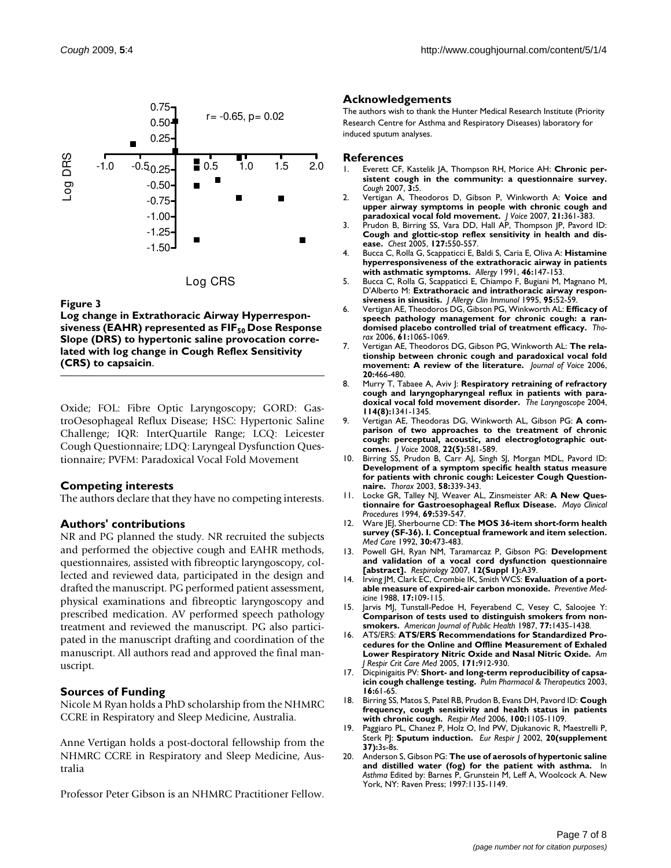<span id="page-6-20"></span>



**Example 3** and the state of the state of the state of the state of the state of the state of the state of the state of the state of the state of the state of the state of the state of the state of the state of the state o **Log change in Extrathoracic Airway Hyperrespon**siveness (EAHR) represented as FIF<sub>50</sub> Dose Response **Slope (DRS) to hypertonic saline provocation correlated with log change in Cough Reflex Sensitivity (CRS) to capsaicin**.

Oxide; FOL: Fibre Optic Laryngoscopy; GORD: GastroOesophageal Reflux Disease; HSC: Hypertonic Saline Challenge; IQR: InterQuartile Range; LCQ: Leicester Cough Questionnaire; LDQ: Laryngeal Dysfunction Questionnaire; PVFM: Paradoxical Vocal Fold Movement

#### **Competing interests**

The authors declare that they have no competing interests.

#### **Authors' contributions**

NR and PG planned the study. NR recruited the subjects and performed the objective cough and EAHR methods, questionnaires, assisted with fibreoptic laryngoscopy, collected and reviewed data, participated in the design and drafted the manuscript. PG performed patient assessment, physical examinations and fibreoptic laryngoscopy and prescribed medication. AV performed speech pathology treatment and reviewed the manuscript. PG also participated in the manuscript drafting and coordination of the manuscript. All authors read and approved the final manuscript.

### **Sources of Funding**

Nicole M Ryan holds a PhD scholarship from the NHMRC CCRE in Respiratory and Sleep Medicine, Australia.

Anne Vertigan holds a post-doctoral fellowship from the NHMRC CCRE in Respiratory and Sleep Medicine, Australia

Professor Peter Gibson is an NHMRC Practitioner Fellow.

#### **Acknowledgements**

The authors wish to thank the Hunter Medical Research Institute (Priority Research Centre for Asthma and Respiratory Diseases) laboratory for induced sputum analyses.

#### **References**

- <span id="page-6-0"></span>1. Everett CF, Kastelik JA, Thompson RH, Morice AH: **[Chronic per](http://www.ncbi.nlm.nih.gov/entrez/query.fcgi?cmd=Retrieve&db=PubMed&dopt=Abstract&list_uids=17381836)[sistent cough in the community: a questionnaire survey.](http://www.ncbi.nlm.nih.gov/entrez/query.fcgi?cmd=Retrieve&db=PubMed&dopt=Abstract&list_uids=17381836)** *Cough* 2007, **3:**5.
- <span id="page-6-1"></span>2. Vertigan A, Theodoros D, Gibson P, Winkworth A: **[Voice and](http://www.ncbi.nlm.nih.gov/entrez/query.fcgi?cmd=Retrieve&db=PubMed&dopt=Abstract&list_uids=16545940) [upper airway symptoms in people with chronic cough and](http://www.ncbi.nlm.nih.gov/entrez/query.fcgi?cmd=Retrieve&db=PubMed&dopt=Abstract&list_uids=16545940) [paradoxical vocal fold movement.](http://www.ncbi.nlm.nih.gov/entrez/query.fcgi?cmd=Retrieve&db=PubMed&dopt=Abstract&list_uids=16545940)** *J Voice* 2007, **21:**361-383.
- <span id="page-6-2"></span>3. Prudon B, Birring SS, Vara DD, Hall AP, Thompson JP, Pavord ID: **[Cough and glottic-stop reflex sensitivity in health and dis](http://www.ncbi.nlm.nih.gov/entrez/query.fcgi?cmd=Retrieve&db=PubMed&dopt=Abstract&list_uids=15705995)[ease.](http://www.ncbi.nlm.nih.gov/entrez/query.fcgi?cmd=Retrieve&db=PubMed&dopt=Abstract&list_uids=15705995)** *Chest* 2005, **127:**550-557.
- <span id="page-6-3"></span>4. Bucca C, Rolla G, Scappaticci E, Baldi S, Caria E, Oliva A: **[Histamine](http://www.ncbi.nlm.nih.gov/entrez/query.fcgi?cmd=Retrieve&db=PubMed&dopt=Abstract&list_uids=2039081) [hyperresponsiveness of the extrathoracic airway in patients](http://www.ncbi.nlm.nih.gov/entrez/query.fcgi?cmd=Retrieve&db=PubMed&dopt=Abstract&list_uids=2039081) [with asthmatic symptoms.](http://www.ncbi.nlm.nih.gov/entrez/query.fcgi?cmd=Retrieve&db=PubMed&dopt=Abstract&list_uids=2039081)** *Allergy* 1991, **46:**147-153.
- <span id="page-6-19"></span>5. Bucca C, Rolla G, Scappaticci E, Chiampo F, Bugiani M, Magnano M, D'Alberto M: **[Extrathoracic and intrathoracic airway respon](http://www.ncbi.nlm.nih.gov/entrez/query.fcgi?cmd=Retrieve&db=PubMed&dopt=Abstract&list_uids=7822664)**[siveness in sinusitis.](http://www.ncbi.nlm.nih.gov/entrez/query.fcgi?cmd=Retrieve&db=PubMed&dopt=Abstract&list_uids=7822664) *J Allergy Clin Immunol* 1995, 95:52-5
- <span id="page-6-4"></span>6. Vertigan AE, Theodoros DG, Gibson PG, Winkworth AL: **[Efficacy of](http://www.ncbi.nlm.nih.gov/entrez/query.fcgi?cmd=Retrieve&db=PubMed&dopt=Abstract&list_uids=16844725) [speech pathology management for chronic cough: a ran](http://www.ncbi.nlm.nih.gov/entrez/query.fcgi?cmd=Retrieve&db=PubMed&dopt=Abstract&list_uids=16844725)[domised placebo controlled trial of treatment efficacy.](http://www.ncbi.nlm.nih.gov/entrez/query.fcgi?cmd=Retrieve&db=PubMed&dopt=Abstract&list_uids=16844725)** *Thorax* 2006, **61:**1065-1069.
- <span id="page-6-5"></span>7. Vertigan AE, Theodoros DG, Gibson PG, Winkworth AL: **[The rela](http://www.ncbi.nlm.nih.gov/entrez/query.fcgi?cmd=Retrieve&db=PubMed&dopt=Abstract&list_uids=16274959)[tionship between chronic cough and paradoxical vocal fold](http://www.ncbi.nlm.nih.gov/entrez/query.fcgi?cmd=Retrieve&db=PubMed&dopt=Abstract&list_uids=16274959) [movement: A review of the literature.](http://www.ncbi.nlm.nih.gov/entrez/query.fcgi?cmd=Retrieve&db=PubMed&dopt=Abstract&list_uids=16274959)** *Journal of Voice* 2006, **20:**466-480.
- <span id="page-6-6"></span>8. Murry T, Tabaee A, Aviv J: **[Respiratory retraining of refractory](http://www.ncbi.nlm.nih.gov/entrez/query.fcgi?cmd=Retrieve&db=PubMed&dopt=Abstract&list_uids=15280705) [cough and laryngopharyngeal reflux in patients with para](http://www.ncbi.nlm.nih.gov/entrez/query.fcgi?cmd=Retrieve&db=PubMed&dopt=Abstract&list_uids=15280705)[doxical vocal fold movement disorder.](http://www.ncbi.nlm.nih.gov/entrez/query.fcgi?cmd=Retrieve&db=PubMed&dopt=Abstract&list_uids=15280705)** *The Laryngoscope* 2004, **114(8):**1341-1345.
- <span id="page-6-7"></span>9. Vertigan AE, Theodoras DG, Winkworth AL, Gibson PG: **[A com](http://www.ncbi.nlm.nih.gov/entrez/query.fcgi?cmd=Retrieve&db=PubMed&dopt=Abstract&list_uids=17485195)[parison of two approaches to the treatment of chronic](http://www.ncbi.nlm.nih.gov/entrez/query.fcgi?cmd=Retrieve&db=PubMed&dopt=Abstract&list_uids=17485195) cough: perceptual, acoustic, and electroglotographic out[comes.](http://www.ncbi.nlm.nih.gov/entrez/query.fcgi?cmd=Retrieve&db=PubMed&dopt=Abstract&list_uids=17485195)** *J Voice* 2008, **22(5):**581-589.
- <span id="page-6-8"></span>10. Birring SS, Prudon B, Carr AJ, Singh SJ, Morgan MDL, Pavord ID: **[Development of a symptom specific health status measure](http://www.ncbi.nlm.nih.gov/entrez/query.fcgi?cmd=Retrieve&db=PubMed&dopt=Abstract&list_uids=12668799) for patients with chronic cough: Leicester Cough Question[naire.](http://www.ncbi.nlm.nih.gov/entrez/query.fcgi?cmd=Retrieve&db=PubMed&dopt=Abstract&list_uids=12668799)** *Thorax* 2003, **58:**339-343.
- <span id="page-6-9"></span>11. Locke GR, Talley NJ, Weaver AL, Zinsmeister AR: **A New Questionnaire for Gastroesophageal Reflux Disease.** *Mayo Clinical Procedures* 1994, **69:**539-547.
- <span id="page-6-10"></span>12. Ware JEJ, Sherbourne CD: [The MOS 36-item short-form health](http://www.ncbi.nlm.nih.gov/entrez/query.fcgi?cmd=Retrieve&db=PubMed&dopt=Abstract&list_uids=1593914) **[survey \(SF-36\). I. Conceptual framework and item selection.](http://www.ncbi.nlm.nih.gov/entrez/query.fcgi?cmd=Retrieve&db=PubMed&dopt=Abstract&list_uids=1593914)** *Med Care* 1992, **30:**473-483.
- <span id="page-6-11"></span>13. Powell GH, Ryan NM, Taramarcaz P, Gibson PG: **Development and validation of a vocal cord dysfunction questionnaire [abstract].** *Respirology* 2007, **12(Suppl 1):**A39.
- <span id="page-6-12"></span>14. **Irving JM, Clark EC, Crombie IK, Smith WCS: [Evaluation of a port](http://www.ncbi.nlm.nih.gov/entrez/query.fcgi?cmd=Retrieve&db=PubMed&dopt=Abstract&list_uids=3362796)[able measure of expired-air carbon monoxide.](http://www.ncbi.nlm.nih.gov/entrez/query.fcgi?cmd=Retrieve&db=PubMed&dopt=Abstract&list_uids=3362796)** *Preventive Medicine* 1988, **17:**109-115.
- <span id="page-6-13"></span>15. Jarvis MJ, Tunstall-Pedoe H, Feyerabend C, Vesey C, Saloojee Y: **[Comparison of tests used to distinguish smokers from non](http://www.ncbi.nlm.nih.gov/entrez/query.fcgi?cmd=Retrieve&db=PubMed&dopt=Abstract&list_uids=3661797)[smokers.](http://www.ncbi.nlm.nih.gov/entrez/query.fcgi?cmd=Retrieve&db=PubMed&dopt=Abstract&list_uids=3661797)** *American Journal of Public Health* 1987, **77:**1435-1438.
- <span id="page-6-14"></span>16. ATS/ERS: **[ATS/ERS Recommendations for Standardized Pro](http://www.ncbi.nlm.nih.gov/entrez/query.fcgi?cmd=Retrieve&db=PubMed&dopt=Abstract&list_uids=15817806)[cedures for the Online and Offline Measurement of Exhaled](http://www.ncbi.nlm.nih.gov/entrez/query.fcgi?cmd=Retrieve&db=PubMed&dopt=Abstract&list_uids=15817806) [Lower Respiratory Nitric Oxide and Nasal Nitric Oxide.](http://www.ncbi.nlm.nih.gov/entrez/query.fcgi?cmd=Retrieve&db=PubMed&dopt=Abstract&list_uids=15817806)** *Am J Respir Crit Care Med* 2005, **171:**912-930.
- <span id="page-6-15"></span>17. Dicpinigaitis PV: **Short- and long-term reproducibility of capsaicin cough challenge testing.** *Pulm Pharmacol & Therapeutics* 2003, **16:**61-65.
- <span id="page-6-16"></span>18. Birring SS, Matos S, Patel RB, Prudon B, Evans DH, Pavord ID: **[Cough](http://www.ncbi.nlm.nih.gov/entrez/query.fcgi?cmd=Retrieve&db=PubMed&dopt=Abstract&list_uids=16266801) [frequency, cough sensitivity and health status in patients](http://www.ncbi.nlm.nih.gov/entrez/query.fcgi?cmd=Retrieve&db=PubMed&dopt=Abstract&list_uids=16266801) [with chronic cough.](http://www.ncbi.nlm.nih.gov/entrez/query.fcgi?cmd=Retrieve&db=PubMed&dopt=Abstract&list_uids=16266801)** *Respir Med* 2006, **100:**1105-1109.
- <span id="page-6-17"></span>19. Paggiaro PL, Chanez P, Holz O, Ind PW, Djukanovic R, Maestrelli P, Sterk PJ: **Sputum induction.** *Eur Respir J* 2002, **20(supplement 37):**3s-8s.
- <span id="page-6-18"></span>20. Anderson S, Gibson PG: **The use of aerosols of hypertonic saline and distilled water (fog) for the patient with asthma.** In *Asthma* Edited by: Barnes P, Grunstein M, Leff A, Woolcock A. New York, NY: Raven Press; 1997:1135-1149.